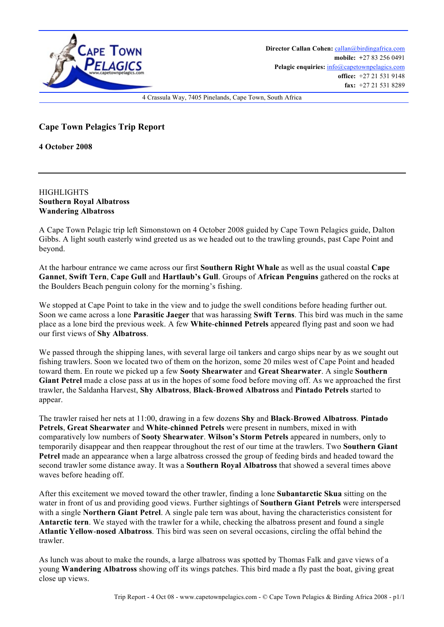

## **Cape Town Pelagics Trip Report**

**4 October 2008**

**HIGHLIGHTS Southern Royal Albatross Wandering Albatross**

A Cape Town Pelagic trip left Simonstown on 4 October 2008 guided by Cape Town Pelagics guide, Dalton Gibbs. A light south easterly wind greeted us as we headed out to the trawling grounds, past Cape Point and beyond.

At the harbour entrance we came across our first **Southern Right Whale** as well as the usual coastal **Cape Gannet**, **Swift Tern**, **Cape Gull** and **Hartlaub's Gull**. Groups of **African Penguins** gathered on the rocks at the Boulders Beach penguin colony for the morning's fishing.

We stopped at Cape Point to take in the view and to judge the swell conditions before heading further out. Soon we came across a lone **Parasitic Jaeger** that was harassing **Swift Terns**. This bird was much in the same place as a lone bird the previous week. A few **White**-**chinned Petrels** appeared flying past and soon we had our first views of **Shy Albatross**.

We passed through the shipping lanes, with several large oil tankers and cargo ships near by as we sought out fishing trawlers. Soon we located two of them on the horizon, some 20 miles west of Cape Point and headed toward them. En route we picked up a few **Sooty Shearwater** and **Great Shearwater**. A single **Southern Giant Petrel** made a close pass at us in the hopes of some food before moving off. As we approached the first trawler, the Saldanha Harvest, **Shy Albatross**, **Black**-**Browed Albatross** and **Pintado Petrels** started to appear.

The trawler raised her nets at 11:00, drawing in a few dozens **Shy** and **Black**-**Browed Albatross**. **Pintado Petrels**, **Great Shearwater** and **White**-**chinned Petrels** were present in numbers, mixed in with comparatively low numbers of **Sooty Shearwater**. **Wilson's Storm Petrels** appeared in numbers, only to temporarily disappear and then reappear throughout the rest of our time at the trawlers. Two **Southern Giant Petrel** made an appearance when a large albatross crossed the group of feeding birds and headed toward the second trawler some distance away. It was a **Southern Royal Albatross** that showed a several times above waves before heading off.

After this excitement we moved toward the other trawler, finding a lone **Subantarctic Skua** sitting on the water in front of us and providing good views. Further sightings of **Southern Giant Petrels** were interspersed with a single **Northern Giant Petrel**. A single pale tern was about, having the characteristics consistent for **Antarctic tern**. We stayed with the trawler for a while, checking the albatross present and found a single **Atlantic Yellow**-**nosed Albatross**. This bird was seen on several occasions, circling the offal behind the trawler.

As lunch was about to make the rounds, a large albatross was spotted by Thomas Falk and gave views of a young **Wandering Albatross** showing off its wings patches. This bird made a fly past the boat, giving great close up views.